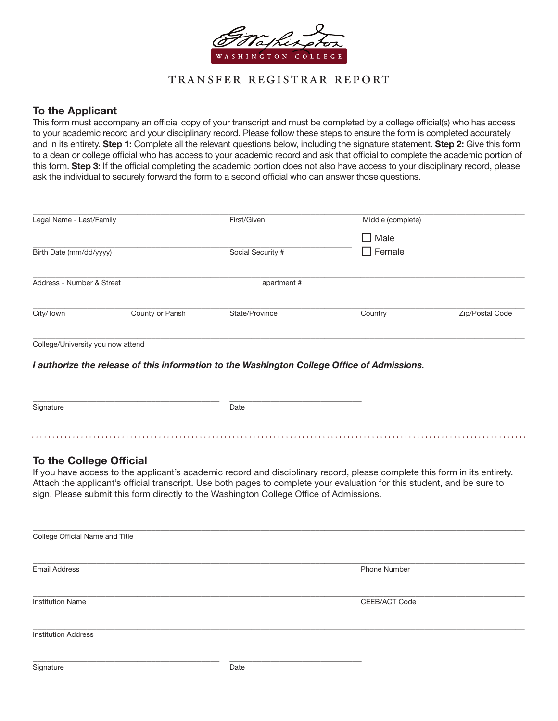

## transfer registrar report

### To the Applicant

This form must accompany an official copy of your transcript and must be completed by a college official(s) who has access to your academic record and your disciplinary record. Please follow these steps to ensure the form is completed accurately and in its entirety. Step 1: Complete all the relevant questions below, including the signature statement. Step 2: Give this form to a dean or college official who has access to your academic record and ask that official to complete the academic portion of this form. Step 3: If the official completing the academic portion does not also have access to your disciplinary record, please ask the individual to securely forward the form to a second official who can answer those questions.

| Legal Name - Last/Family          |                  | First/Given       | Middle (complete) |                 |
|-----------------------------------|------------------|-------------------|-------------------|-----------------|
|                                   |                  |                   | $\Box$ Male       |                 |
| Birth Date (mm/dd/yyyy)           |                  | Social Security # | $\Box$ Female     |                 |
| Address - Number & Street         |                  | apartment #       |                   |                 |
| City/Town                         | County or Parish | State/Province    | Country           | Zip/Postal Code |
| College/University you now attend |                  |                   |                   |                 |

*I authorize the release of this information to the Washington College Office of Admissions.*

| Signature | Date |
|-----------|------|
|           |      |

#### To the College Official

If you have access to the applicant's academic record and disciplinary record, please complete this form in its entirety. Attach the applicant's official transcript. Use both pages to complete your evaluation for this student, and be sure to sign. Please submit this form directly to the Washington College Office of Admissions.

| College Official Name and Title |      |               |  |
|---------------------------------|------|---------------|--|
| <b>Email Address</b>            |      | Phone Number  |  |
| <b>Institution Name</b>         |      | CEEB/ACT Code |  |
| <b>Institution Address</b>      |      |               |  |
| Signature                       | Date |               |  |